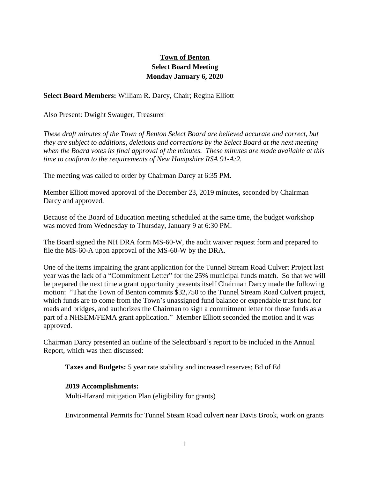# **Town of Benton Select Board Meeting Monday January 6, 2020**

## **Select Board Members:** William R. Darcy, Chair; Regina Elliott

Also Present: Dwight Swauger, Treasurer

*These draft minutes of the Town of Benton Select Board are believed accurate and correct, but they are subject to additions, deletions and corrections by the Select Board at the next meeting when the Board votes its final approval of the minutes. These minutes are made available at this time to conform to the requirements of New Hampshire RSA 91-A:2.*

The meeting was called to order by Chairman Darcy at 6:35 PM.

Member Elliott moved approval of the December 23, 2019 minutes, seconded by Chairman Darcy and approved.

Because of the Board of Education meeting scheduled at the same time, the budget workshop was moved from Wednesday to Thursday, January 9 at 6:30 PM.

The Board signed the NH DRA form MS-60-W, the audit waiver request form and prepared to file the MS-60-A upon approval of the MS-60-W by the DRA.

One of the items impairing the grant application for the Tunnel Stream Road Culvert Project last year was the lack of a "Commitment Letter" for the 25% municipal funds match. So that we will be prepared the next time a grant opportunity presents itself Chairman Darcy made the following motion: "That the Town of Benton commits \$32,750 to the Tunnel Stream Road Culvert project, which funds are to come from the Town's unassigned fund balance or expendable trust fund for roads and bridges, and authorizes the Chairman to sign a commitment letter for those funds as a part of a NHSEM/FEMA grant application." Member Elliott seconded the motion and it was approved.

Chairman Darcy presented an outline of the Selectboard's report to be included in the Annual Report, which was then discussed:

**Taxes and Budgets:** 5 year rate stability and increased reserves; Bd of Ed

#### **2019 Accomplishments:**

Multi-Hazard mitigation Plan (eligibility for grants)

Environmental Permits for Tunnel Steam Road culvert near Davis Brook, work on grants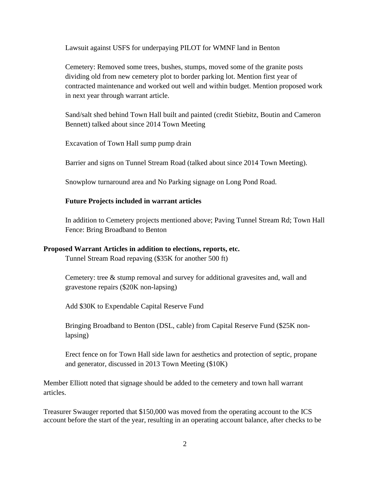Lawsuit against USFS for underpaying PILOT for WMNF land in Benton

Cemetery: Removed some trees, bushes, stumps, moved some of the granite posts dividing old from new cemetery plot to border parking lot. Mention first year of contracted maintenance and worked out well and within budget. Mention proposed work in next year through warrant article.

Sand/salt shed behind Town Hall built and painted (credit Stiebitz, Boutin and Cameron Bennett) talked about since 2014 Town Meeting

Excavation of Town Hall sump pump drain

Barrier and signs on Tunnel Stream Road (talked about since 2014 Town Meeting).

Snowplow turnaround area and No Parking signage on Long Pond Road.

### **Future Projects included in warrant articles**

In addition to Cemetery projects mentioned above; Paving Tunnel Stream Rd; Town Hall Fence: Bring Broadband to Benton

#### **Proposed Warrant Articles in addition to elections, reports, etc.**

Tunnel Stream Road repaving (\$35K for another 500 ft)

Cemetery: tree & stump removal and survey for additional gravesites and, wall and gravestone repairs (\$20K non-lapsing)

Add \$30K to Expendable Capital Reserve Fund

Bringing Broadband to Benton (DSL, cable) from Capital Reserve Fund (\$25K nonlapsing)

Erect fence on for Town Hall side lawn for aesthetics and protection of septic, propane and generator, discussed in 2013 Town Meeting (\$10K)

Member Elliott noted that signage should be added to the cemetery and town hall warrant articles.

Treasurer Swauger reported that \$150,000 was moved from the operating account to the ICS account before the start of the year, resulting in an operating account balance, after checks to be